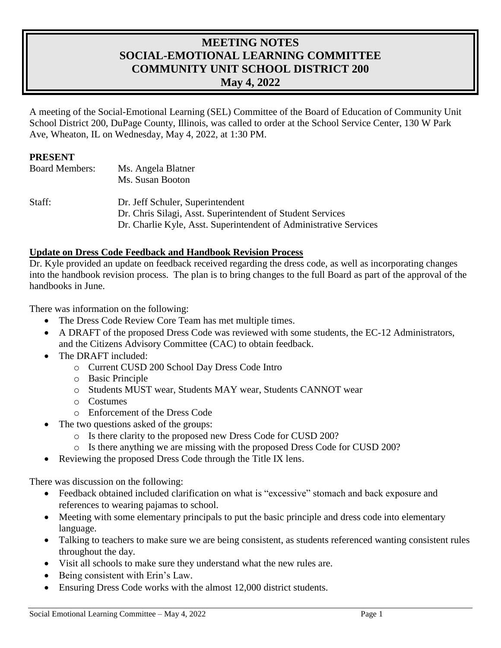# **MEETING NOTES SOCIAL-EMOTIONAL LEARNING COMMITTEE COMMUNITY UNIT SCHOOL DISTRICT 200 May 4, 2022**

A meeting of the Social-Emotional Learning (SEL) Committee of the Board of Education of Community Unit School District 200, DuPage County, Illinois, was called to order at the School Service Center, 130 W Park Ave, Wheaton, IL on Wednesday, May 4, 2022, at 1:30 PM.

#### **PRESENT**

| <b>Board Members:</b> | Ms. Angela Blatner                                                |
|-----------------------|-------------------------------------------------------------------|
|                       | Ms. Susan Booton                                                  |
| Staff:                | Dr. Jeff Schuler, Superintendent                                  |
|                       | Dr. Chris Silagi, Asst. Superintendent of Student Services        |
|                       | Dr. Charlie Kyle, Asst. Superintendent of Administrative Services |

#### **Update on Dress Code Feedback and Handbook Revision Process**

Dr. Kyle provided an update on feedback received regarding the dress code, as well as incorporating changes into the handbook revision process. The plan is to bring changes to the full Board as part of the approval of the handbooks in June.

There was information on the following:

- The Dress Code Review Core Team has met multiple times.
- A DRAFT of the proposed Dress Code was reviewed with some students, the EC-12 Administrators, and the Citizens Advisory Committee (CAC) to obtain feedback.
- The DRAFT included:
	- o Current CUSD 200 School Day Dress Code Intro
	- o Basic Principle
	- o Students MUST wear, Students MAY wear, Students CANNOT wear
	- o Costumes
	- o Enforcement of the Dress Code
	- The two questions asked of the groups:
		- o Is there clarity to the proposed new Dress Code for CUSD 200?
		- o Is there anything we are missing with the proposed Dress Code for CUSD 200?
- Reviewing the proposed Dress Code through the Title IX lens.

There was discussion on the following:

- Feedback obtained included clarification on what is "excessive" stomach and back exposure and references to wearing pajamas to school.
- Meeting with some elementary principals to put the basic principle and dress code into elementary language.
- Talking to teachers to make sure we are being consistent, as students referenced wanting consistent rules throughout the day.
- Visit all schools to make sure they understand what the new rules are.
- Being consistent with Erin's Law.
- Ensuring Dress Code works with the almost 12,000 district students.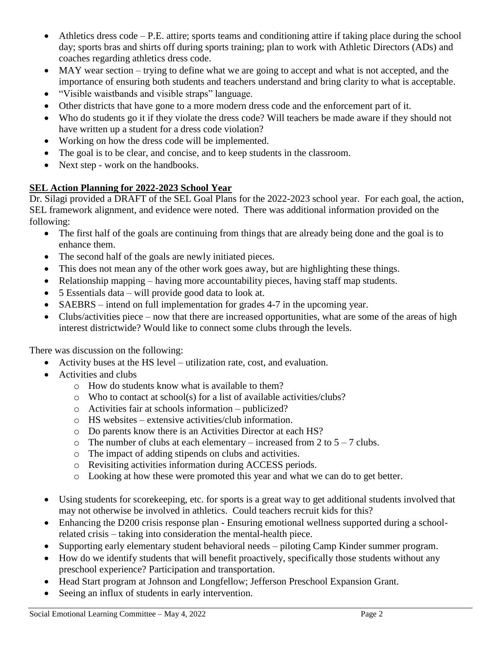- Athletics dress code P.E. attire; sports teams and conditioning attire if taking place during the school day; sports bras and shirts off during sports training; plan to work with Athletic Directors (ADs) and coaches regarding athletics dress code.
- MAY wear section trying to define what we are going to accept and what is not accepted, and the importance of ensuring both students and teachers understand and bring clarity to what is acceptable.
- "Visible waistbands and visible straps" language.
- Other districts that have gone to a more modern dress code and the enforcement part of it.
- Who do students go it if they violate the dress code? Will teachers be made aware if they should not have written up a student for a dress code violation?
- Working on how the dress code will be implemented.
- The goal is to be clear, and concise, and to keep students in the classroom.
- Next step work on the handbooks.

## **SEL Action Planning for 2022-2023 School Year**

Dr. Silagi provided a DRAFT of the SEL Goal Plans for the 2022-2023 school year. For each goal, the action, SEL framework alignment, and evidence were noted. There was additional information provided on the following:

- The first half of the goals are continuing from things that are already being done and the goal is to enhance them.
- The second half of the goals are newly initiated pieces.
- This does not mean any of the other work goes away, but are highlighting these things.
- Relationship mapping having more accountability pieces, having staff map students.
- 5 Essentials data will provide good data to look at.
- SAEBRS intend on full implementation for grades 4-7 in the upcoming year.
- Clubs/activities piece now that there are increased opportunities, what are some of the areas of high interest districtwide? Would like to connect some clubs through the levels.

There was discussion on the following:

- Activity buses at the HS level utilization rate, cost, and evaluation.
- Activities and clubs
	- o How do students know what is available to them?
	- o Who to contact at school(s) for a list of available activities/clubs?
	- o Activities fair at schools information publicized?
	- o HS websites extensive activities/club information.
	- o Do parents know there is an Activities Director at each HS?
	- $\circ$  The number of clubs at each elementary increased from 2 to 5 7 clubs.
	- o The impact of adding stipends on clubs and activities.
	- o Revisiting activities information during ACCESS periods.
	- o Looking at how these were promoted this year and what we can do to get better.
- Using students for scorekeeping, etc. for sports is a great way to get additional students involved that may not otherwise be involved in athletics. Could teachers recruit kids for this?
- Enhancing the D200 crisis response plan Ensuring emotional wellness supported during a schoolrelated crisis – taking into consideration the mental-health piece.
- Supporting early elementary student behavioral needs piloting Camp Kinder summer program.
- How do we identify students that will benefit proactively, specifically those students without any preschool experience? Participation and transportation.
- Head Start program at Johnson and Longfellow; Jefferson Preschool Expansion Grant.
- Seeing an influx of students in early intervention.